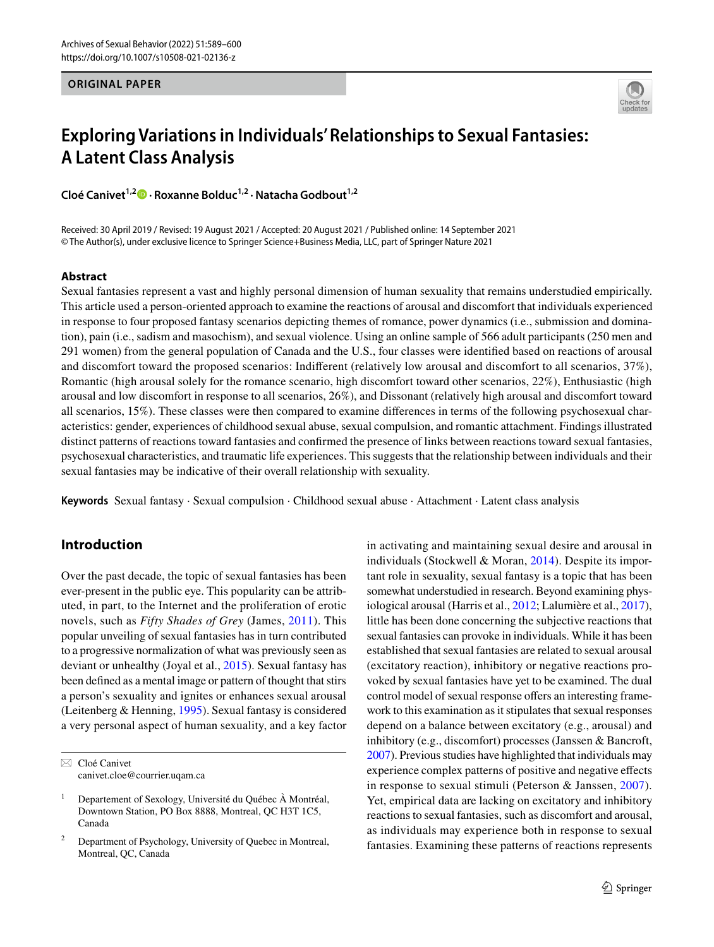### **ORIGINAL PAPER**



# **Exploring Variations in Individuals' Relationships to Sexual Fantasies: A Latent Class Analysis**

**Cloé Canivet1,2  [·](http://orcid.org/0000-0001-7981-811X) Roxanne Bolduc1,2 · Natacha Godbout1,2**

Received: 30 April 2019 / Revised: 19 August 2021 / Accepted: 20 August 2021 / Published online: 14 September 2021 © The Author(s), under exclusive licence to Springer Science+Business Media, LLC, part of Springer Nature 2021

### **Abstract**

Sexual fantasies represent a vast and highly personal dimension of human sexuality that remains understudied empirically. This article used a person-oriented approach to examine the reactions of arousal and discomfort that individuals experienced in response to four proposed fantasy scenarios depicting themes of romance, power dynamics (i.e., submission and domination), pain (i.e., sadism and masochism), and sexual violence. Using an online sample of 566 adult participants (250 men and 291 women) from the general population of Canada and the U.S., four classes were identifed based on reactions of arousal and discomfort toward the proposed scenarios: Indiferent (relatively low arousal and discomfort to all scenarios, 37%), Romantic (high arousal solely for the romance scenario, high discomfort toward other scenarios, 22%), Enthusiastic (high arousal and low discomfort in response to all scenarios, 26%), and Dissonant (relatively high arousal and discomfort toward all scenarios, 15%). These classes were then compared to examine diferences in terms of the following psychosexual characteristics: gender, experiences of childhood sexual abuse, sexual compulsion, and romantic attachment. Findings illustrated distinct patterns of reactions toward fantasies and confrmed the presence of links between reactions toward sexual fantasies, psychosexual characteristics, and traumatic life experiences. This suggests that the relationship between individuals and their sexual fantasies may be indicative of their overall relationship with sexuality.

**Keywords** Sexual fantasy · Sexual compulsion · Childhood sexual abuse · Attachment · Latent class analysis

# **Introduction**

Over the past decade, the topic of sexual fantasies has been ever-present in the public eye. This popularity can be attributed, in part, to the Internet and the proliferation of erotic novels, such as *Fifty Shades of Grey* (James, [2011\)](#page-11-0). This popular unveiling of sexual fantasies has in turn contributed to a progressive normalization of what was previously seen as deviant or unhealthy (Joyal et al., [2015\)](#page-11-1). Sexual fantasy has been defned as a mental image or pattern of thought that stirs a person's sexuality and ignites or enhances sexual arousal (Leitenberg & Henning, [1995\)](#page-11-2). Sexual fantasy is considered a very personal aspect of human sexuality, and a key factor

 $\boxtimes$  Cloé Canivet canivet.cloe@courrier.uqam.ca in activating and maintaining sexual desire and arousal in individuals (Stockwell & Moran, [2014\)](#page-11-3). Despite its important role in sexuality, sexual fantasy is a topic that has been somewhat understudied in research. Beyond examining physiological arousal (Harris et al., [2012;](#page-11-4) Lalumière et al., [2017](#page-11-5)), little has been done concerning the subjective reactions that sexual fantasies can provoke in individuals. While it has been established that sexual fantasies are related to sexual arousal (excitatory reaction), inhibitory or negative reactions provoked by sexual fantasies have yet to be examined. The dual control model of sexual response offers an interesting framework to this examination as it stipulates that sexual responses depend on a balance between excitatory (e.g., arousal) and inhibitory (e.g., discomfort) processes (Janssen & Bancroft, [2007\)](#page-11-6). Previous studies have highlighted that individuals may experience complex patterns of positive and negative efects in response to sexual stimuli (Peterson & Janssen, [2007](#page-11-7)). Yet, empirical data are lacking on excitatory and inhibitory reactions to sexual fantasies, such as discomfort and arousal, as individuals may experience both in response to sexual fantasies. Examining these patterns of reactions represents

<sup>&</sup>lt;sup>1</sup> Departement of Sexology, Université du Québec À Montréal, Downtown Station, PO Box 8888, Montreal, QC H3T 1C5, Canada

<sup>2</sup> Department of Psychology, University of Quebec in Montreal, Montreal, QC, Canada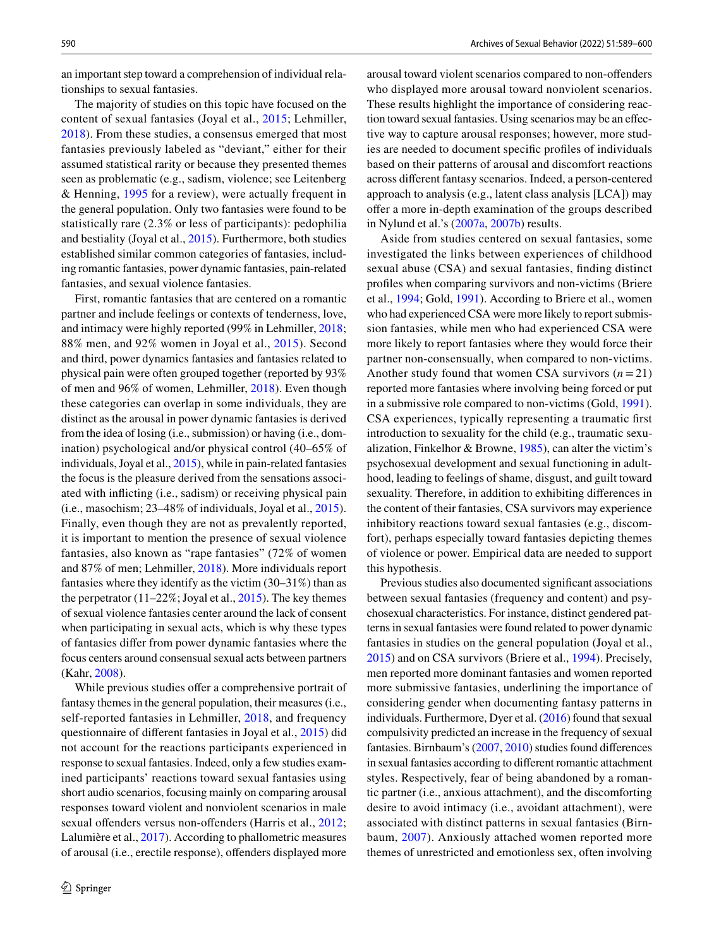an important step toward a comprehension of individual relationships to sexual fantasies.

The majority of studies on this topic have focused on the content of sexual fantasies (Joyal et al., [2015;](#page-11-1) Lehmiller, [2018\)](#page-11-8). From these studies, a consensus emerged that most fantasies previously labeled as "deviant," either for their assumed statistical rarity or because they presented themes seen as problematic (e.g., sadism, violence; see Leitenberg & Henning, [1995](#page-11-2) for a review), were actually frequent in the general population. Only two fantasies were found to be statistically rare (2.3% or less of participants): pedophilia and bestiality (Joyal et al., [2015](#page-11-1)). Furthermore, both studies established similar common categories of fantasies, including romantic fantasies, power dynamic fantasies, pain-related fantasies, and sexual violence fantasies.

First, romantic fantasies that are centered on a romantic partner and include feelings or contexts of tenderness, love, and intimacy were highly reported (99% in Lehmiller, [2018](#page-11-8); 88% men, and 92% women in Joyal et al., [2015\)](#page-11-1). Second and third, power dynamics fantasies and fantasies related to physical pain were often grouped together (reported by 93% of men and 96% of women, Lehmiller, [2018](#page-11-8)). Even though these categories can overlap in some individuals, they are distinct as the arousal in power dynamic fantasies is derived from the idea of losing (i.e., submission) or having (i.e., domination) psychological and/or physical control (40–65% of individuals, Joyal et al., [2015](#page-11-1)), while in pain-related fantasies the focus is the pleasure derived from the sensations associated with inficting (i.e., sadism) or receiving physical pain (i.e., masochism; 23–48% of individuals, Joyal et al., [2015](#page-11-1)). Finally, even though they are not as prevalently reported, it is important to mention the presence of sexual violence fantasies, also known as "rape fantasies" (72% of women and 87% of men; Lehmiller, [2018](#page-11-8)). More individuals report fantasies where they identify as the victim (30–31%) than as the perpetrator  $(11–22\%;$  Joyal et al.,  $2015$ ). The key themes of sexual violence fantasies center around the lack of consent when participating in sexual acts, which is why these types of fantasies difer from power dynamic fantasies where the focus centers around consensual sexual acts between partners (Kahr, [2008](#page-11-9)).

While previous studies offer a comprehensive portrait of fantasy themes in the general population, their measures (i.e., self-reported fantasies in Lehmiller, [2018,](#page-11-8) and frequency questionnaire of diferent fantasies in Joyal et al., [2015\)](#page-11-1) did not account for the reactions participants experienced in response to sexual fantasies. Indeed, only a few studies examined participants' reactions toward sexual fantasies using short audio scenarios, focusing mainly on comparing arousal responses toward violent and nonviolent scenarios in male sexual offenders versus non-offenders (Harris et al., [2012](#page-11-4); Lalumière et al., [2017](#page-11-5)). According to phallometric measures of arousal (i.e., erectile response), ofenders displayed more arousal toward violent scenarios compared to non-ofenders who displayed more arousal toward nonviolent scenarios. These results highlight the importance of considering reaction toward sexual fantasies. Using scenarios may be an efective way to capture arousal responses; however, more studies are needed to document specifc profles of individuals based on their patterns of arousal and discomfort reactions across diferent fantasy scenarios. Indeed, a person-centered approach to analysis (e.g., latent class analysis [LCA]) may offer a more in-depth examination of the groups described in Nylund et al.'s ([2007a](#page-11-10), [2007b](#page-11-11)) results.

Aside from studies centered on sexual fantasies, some investigated the links between experiences of childhood sexual abuse (CSA) and sexual fantasies, fnding distinct profles when comparing survivors and non-victims (Briere et al., [1994](#page-11-12); Gold, [1991](#page-11-13)). According to Briere et al., women who had experienced CSA were more likely to report submission fantasies, while men who had experienced CSA were more likely to report fantasies where they would force their partner non-consensually, when compared to non-victims. Another study found that women CSA survivors  $(n=21)$ reported more fantasies where involving being forced or put in a submissive role compared to non-victims (Gold, [1991](#page-11-13)). CSA experiences, typically representing a traumatic frst introduction to sexuality for the child (e.g., traumatic sexualization, Finkelhor & Browne, [1985](#page-11-14)), can alter the victim's psychosexual development and sexual functioning in adulthood, leading to feelings of shame, disgust, and guilt toward sexuality. Therefore, in addition to exhibiting diferences in the content of their fantasies, CSA survivors may experience inhibitory reactions toward sexual fantasies (e.g., discomfort), perhaps especially toward fantasies depicting themes of violence or power. Empirical data are needed to support this hypothesis.

Previous studies also documented signifcant associations between sexual fantasies (frequency and content) and psychosexual characteristics. For instance, distinct gendered patterns in sexual fantasies were found related to power dynamic fantasies in studies on the general population (Joyal et al., [2015](#page-11-1)) and on CSA survivors (Briere et al., [1994](#page-11-12)). Precisely, men reported more dominant fantasies and women reported more submissive fantasies, underlining the importance of considering gender when documenting fantasy patterns in individuals. Furthermore, Dyer et al. [\(2016\)](#page-11-15) found that sexual compulsivity predicted an increase in the frequency of sexual fantasies. Birnbaum's [\(2007,](#page-10-0) [2010](#page-10-1)) studies found diferences in sexual fantasies according to diferent romantic attachment styles. Respectively, fear of being abandoned by a romantic partner (i.e., anxious attachment), and the discomforting desire to avoid intimacy (i.e., avoidant attachment), were associated with distinct patterns in sexual fantasies (Birnbaum, [2007](#page-10-0)). Anxiously attached women reported more themes of unrestricted and emotionless sex, often involving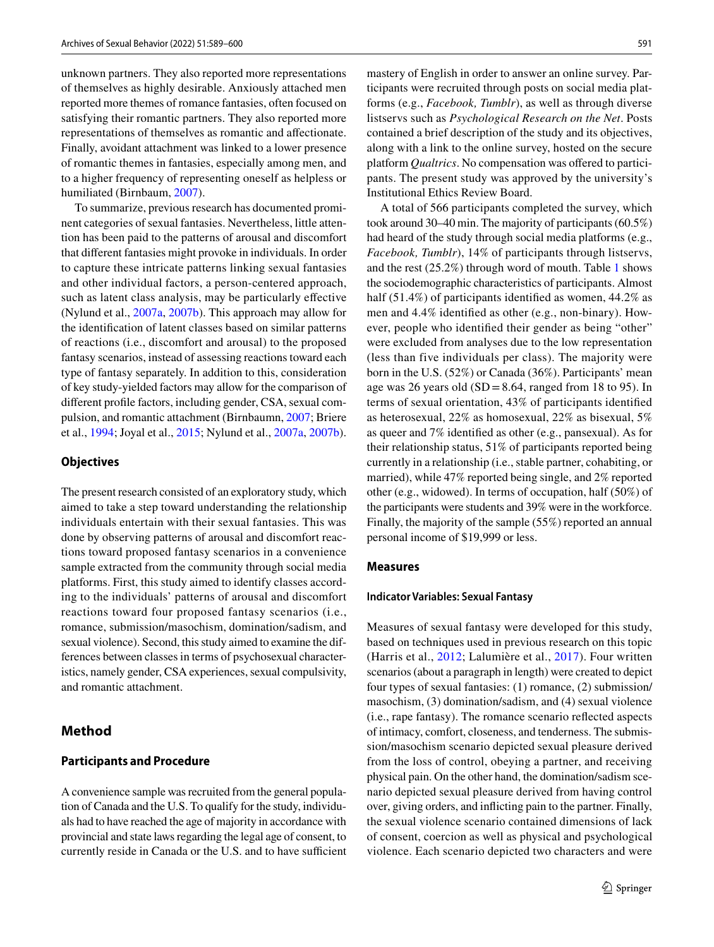unknown partners. They also reported more representations of themselves as highly desirable. Anxiously attached men reported more themes of romance fantasies, often focused on satisfying their romantic partners. They also reported more representations of themselves as romantic and afectionate. Finally, avoidant attachment was linked to a lower presence of romantic themes in fantasies, especially among men, and to a higher frequency of representing oneself as helpless or humiliated (Birnbaum, [2007](#page-10-0)).

To summarize, previous research has documented prominent categories of sexual fantasies. Nevertheless, little attention has been paid to the patterns of arousal and discomfort that diferent fantasies might provoke in individuals. In order to capture these intricate patterns linking sexual fantasies and other individual factors, a person-centered approach, such as latent class analysis, may be particularly efective (Nylund et al., [2007a,](#page-11-10) [2007b\)](#page-11-11). This approach may allow for the identifcation of latent classes based on similar patterns of reactions (i.e., discomfort and arousal) to the proposed fantasy scenarios, instead of assessing reactions toward each type of fantasy separately. In addition to this, consideration of key study-yielded factors may allow for the comparison of diferent profle factors, including gender, CSA, sexual compulsion, and romantic attachment (Birnbaumn, [2007](#page-10-0); Briere et al., [1994](#page-11-12); Joyal et al., [2015](#page-11-1); Nylund et al., [2007a](#page-11-10), [2007b](#page-11-11)).

### **Objectives**

The present research consisted of an exploratory study, which aimed to take a step toward understanding the relationship individuals entertain with their sexual fantasies. This was done by observing patterns of arousal and discomfort reactions toward proposed fantasy scenarios in a convenience sample extracted from the community through social media platforms. First, this study aimed to identify classes according to the individuals' patterns of arousal and discomfort reactions toward four proposed fantasy scenarios (i.e., romance, submission/masochism, domination/sadism, and sexual violence). Second, this study aimed to examine the differences between classes in terms of psychosexual characteristics, namely gender, CSA experiences, sexual compulsivity, and romantic attachment.

# **Method**

#### **Participants and Procedure**

A convenience sample was recruited from the general population of Canada and the U.S. To qualify for the study, individuals had to have reached the age of majority in accordance with provincial and state laws regarding the legal age of consent, to currently reside in Canada or the U.S. and to have sufficient mastery of English in order to answer an online survey. Participants were recruited through posts on social media platforms (e.g., *Facebook, Tumblr*), as well as through diverse listservs such as *Psychological Research on the Net*. Posts contained a brief description of the study and its objectives, along with a link to the online survey, hosted on the secure platform *Qualtrics*. No compensation was ofered to participants. The present study was approved by the university's Institutional Ethics Review Board.

A total of 566 participants completed the survey, which took around 30–40 min. The majority of participants (60.5%) had heard of the study through social media platforms (e.g., *Facebook, Tumblr*), 14% of participants through listservs, and the rest (25.2%) through word of mouth. Table [1](#page-3-0) shows the sociodemographic characteristics of participants. Almost half (51.4%) of participants identified as women, 44.2% as men and 4.4% identifed as other (e.g., non-binary). However, people who identifed their gender as being "other" were excluded from analyses due to the low representation (less than five individuals per class). The majority were born in the U.S. (52%) or Canada (36%). Participants' mean age was 26 years old  $(SD = 8.64$ , ranged from 18 to 95). In terms of sexual orientation, 43% of participants identifed as heterosexual, 22% as homosexual, 22% as bisexual, 5% as queer and 7% identifed as other (e.g., pansexual). As for their relationship status, 51% of participants reported being currently in a relationship (i.e., stable partner, cohabiting, or married), while 47% reported being single, and 2% reported other (e.g., widowed). In terms of occupation, half (50%) of the participants were students and 39% were in the workforce. Finally, the majority of the sample (55%) reported an annual personal income of \$19,999 or less.

### **Measures**

#### **Indicator Variables: Sexual Fantasy**

Measures of sexual fantasy were developed for this study, based on techniques used in previous research on this topic (Harris et al., [2012;](#page-11-4) Lalumière et al., [2017](#page-11-5)). Four written scenarios (about a paragraph in length) were created to depict four types of sexual fantasies: (1) romance, (2) submission/ masochism, (3) domination/sadism, and (4) sexual violence (i.e., rape fantasy). The romance scenario refected aspects of intimacy, comfort, closeness, and tenderness. The submission/masochism scenario depicted sexual pleasure derived from the loss of control, obeying a partner, and receiving physical pain. On the other hand, the domination/sadism scenario depicted sexual pleasure derived from having control over, giving orders, and inficting pain to the partner. Finally, the sexual violence scenario contained dimensions of lack of consent, coercion as well as physical and psychological violence. Each scenario depicted two characters and were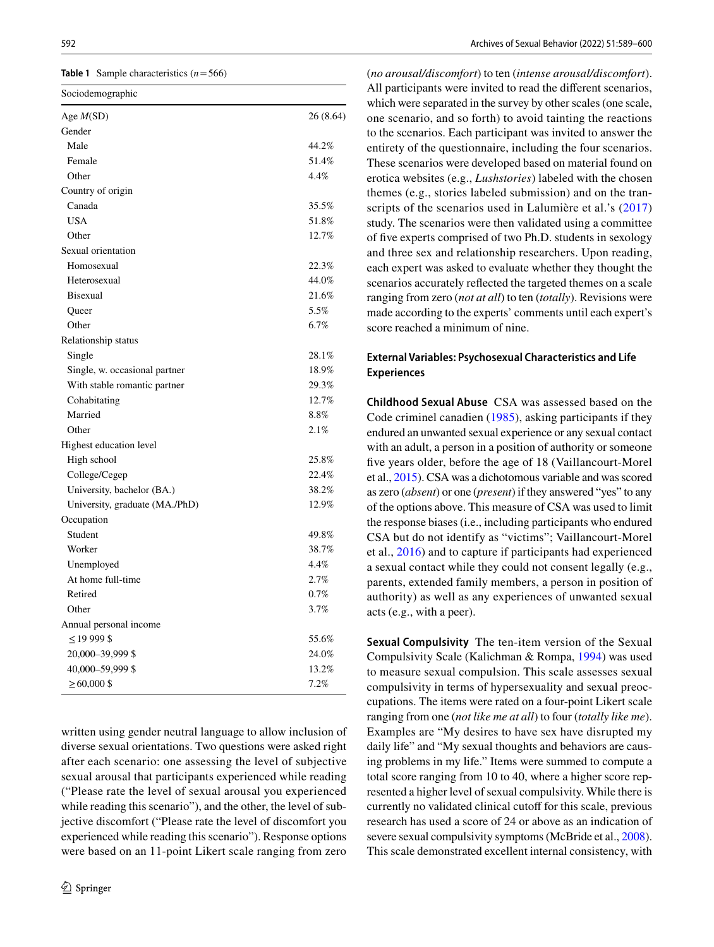<span id="page-3-0"></span>**Table 1** Sample characteristics  $(n=566)$ 

| Sociodemographic               |           |
|--------------------------------|-----------|
| Age $M(SD)$                    | 26 (8.64) |
| Gender                         |           |
| Male                           | 44.2%     |
| Female                         | 51.4%     |
| Other                          | 4.4%      |
| Country of origin              |           |
| Canada                         | 35.5%     |
| <b>USA</b>                     | 51.8%     |
| Other                          | 12.7%     |
| Sexual orientation             |           |
| Homosexual                     | 22.3%     |
| Heterosexual                   | 44.0%     |
| <b>Bisexual</b>                | 21.6%     |
| Queer                          | 5.5%      |
| Other                          | 6.7%      |
| Relationship status            |           |
| Single                         | 28.1%     |
| Single, w. occasional partner  | 18.9%     |
| With stable romantic partner   | 29.3%     |
| Cohabitating                   | 12.7%     |
| Married                        | 8.8%      |
| Other                          | 2.1%      |
| Highest education level        |           |
| High school                    | 25.8%     |
| College/Cegep                  | 22.4%     |
| University, bachelor (BA.)     | 38.2%     |
| University, graduate (MA./PhD) | 12.9%     |
| Occupation                     |           |
| Student                        | 49.8%     |
| Worker                         | 38.7%     |
| Unemployed                     | 4.4%      |
| At home full-time              | 2.7%      |
| Retired                        | 0.7%      |
| Other                          | 3.7%      |
| Annual personal income         |           |
| $\leq$ 19 999 \$               | 55.6%     |
| 20,000-39,999 \$               | 24.0%     |
| 40,000-59,999 \$               | 13.2%     |
| $\geq 60,000$ \$               | 7.2%      |

written using gender neutral language to allow inclusion of diverse sexual orientations. Two questions were asked right after each scenario: one assessing the level of subjective sexual arousal that participants experienced while reading ("Please rate the level of sexual arousal you experienced while reading this scenario"), and the other, the level of subjective discomfort ("Please rate the level of discomfort you experienced while reading this scenario"). Response options were based on an 11-point Likert scale ranging from zero

(*no arousal/discomfort*) to ten (*intense arousal/discomfort*). All participants were invited to read the diferent scenarios, which were separated in the survey by other scales (one scale, one scenario, and so forth) to avoid tainting the reactions to the scenarios. Each participant was invited to answer the entirety of the questionnaire, including the four scenarios. These scenarios were developed based on material found on erotica websites (e.g., *Lushstories*) labeled with the chosen themes (e.g., stories labeled submission) and on the tran-scripts of the scenarios used in Lalumière et al.'s ([2017\)](#page-11-5) study. The scenarios were then validated using a committee of fve experts comprised of two Ph.D. students in sexology and three sex and relationship researchers. Upon reading, each expert was asked to evaluate whether they thought the scenarios accurately refected the targeted themes on a scale ranging from zero (*not at all*) to ten (*totally*). Revisions were made according to the experts' comments until each expert's score reached a minimum of nine.

# **External Variables: Psychosexual Characteristics and Life Experiences**

**Childhood Sexual Abuse** CSA was assessed based on the Code criminel canadien [\(1985\)](#page-11-16), asking participants if they endured an unwanted sexual experience or any sexual contact with an adult, a person in a position of authority or someone fve years older, before the age of 18 (Vaillancourt-Morel et al., [2015](#page-11-17)). CSA was a dichotomous variable and was scored as zero (*absent*) or one (*present*) if they answered "yes" to any of the options above. This measure of CSA was used to limit the response biases (i.e., including participants who endured CSA but do not identify as "victims"; Vaillancourt-Morel et al., [2016\)](#page-11-18) and to capture if participants had experienced a sexual contact while they could not consent legally (e.g., parents, extended family members, a person in position of authority) as well as any experiences of unwanted sexual acts (e.g., with a peer).

**Sexual Compulsivity** The ten-item version of the Sexual Compulsivity Scale (Kalichman & Rompa, [1994](#page-11-19)) was used to measure sexual compulsion. This scale assesses sexual compulsivity in terms of hypersexuality and sexual preoccupations. The items were rated on a four-point Likert scale ranging from one (*not like me at all*) to four (*totally like me*). Examples are "My desires to have sex have disrupted my daily life" and "My sexual thoughts and behaviors are causing problems in my life." Items were summed to compute a total score ranging from 10 to 40, where a higher score represented a higher level of sexual compulsivity. While there is currently no validated clinical cutoff for this scale, previous research has used a score of 24 or above as an indication of severe sexual compulsivity symptoms (McBride et al., [2008](#page-11-20)). This scale demonstrated excellent internal consistency, with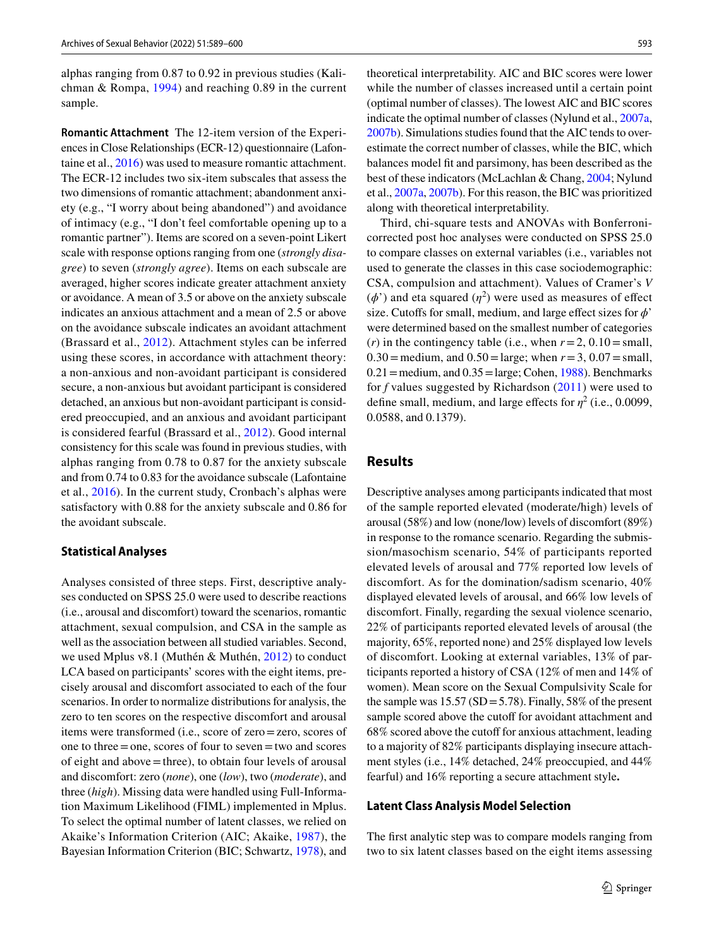alphas ranging from 0.87 to 0.92 in previous studies (Kalichman & Rompa, [1994](#page-11-19)) and reaching 0.89 in the current sample.

**Romantic Attachment** The 12-item version of the Experiences in Close Relationships (ECR-12) questionnaire (Lafontaine et al., [2016](#page-11-21)) was used to measure romantic attachment. The ECR-12 includes two six-item subscales that assess the two dimensions of romantic attachment; abandonment anxiety (e.g., "I worry about being abandoned") and avoidance of intimacy (e.g., "I don't feel comfortable opening up to a romantic partner"). Items are scored on a seven-point Likert scale with response options ranging from one (*strongly disagree*) to seven (*strongly agree*). Items on each subscale are averaged, higher scores indicate greater attachment anxiety or avoidance. A mean of 3.5 or above on the anxiety subscale indicates an anxious attachment and a mean of 2.5 or above on the avoidance subscale indicates an avoidant attachment (Brassard et al., [2012](#page-10-2)). Attachment styles can be inferred using these scores, in accordance with attachment theory: a non-anxious and non-avoidant participant is considered secure, a non-anxious but avoidant participant is considered detached, an anxious but non-avoidant participant is considered preoccupied, and an anxious and avoidant participant is considered fearful (Brassard et al., [2012\)](#page-10-2). Good internal consistency for this scale was found in previous studies, with alphas ranging from 0.78 to 0.87 for the anxiety subscale and from 0.74 to 0.83 for the avoidance subscale (Lafontaine et al., [2016\)](#page-11-21). In the current study, Cronbach's alphas were satisfactory with 0.88 for the anxiety subscale and 0.86 for the avoidant subscale.

## **Statistical Analyses**

Analyses consisted of three steps. First, descriptive analyses conducted on SPSS 25.0 were used to describe reactions (i.e., arousal and discomfort) toward the scenarios, romantic attachment, sexual compulsion, and CSA in the sample as well as the association between all studied variables. Second, we used Mplus v8.1 (Muthén & Muthén, [2012\)](#page-11-22) to conduct LCA based on participants' scores with the eight items, precisely arousal and discomfort associated to each of the four scenarios. In order to normalize distributions for analysis, the zero to ten scores on the respective discomfort and arousal items were transformed (i.e., score of zero=zero, scores of one to three=one, scores of four to seven=two and scores of eight and above=three), to obtain four levels of arousal and discomfort: zero (*none*), one (*low*), two (*moderate*), and three (*high*). Missing data were handled using Full-Information Maximum Likelihood (FIML) implemented in Mplus. To select the optimal number of latent classes, we relied on Akaike's Information Criterion (AIC; Akaike, [1987\)](#page-10-3), the Bayesian Information Criterion (BIC; Schwartz, [1978\)](#page-11-23), and theoretical interpretability. AIC and BIC scores were lower while the number of classes increased until a certain point (optimal number of classes). The lowest AIC and BIC scores indicate the optimal number of classes (Nylund et al., [2007a,](#page-11-10) [2007b](#page-11-11)). Simulations studies found that the AIC tends to overestimate the correct number of classes, while the BIC, which balances model ft and parsimony, has been described as the best of these indicators (McLachlan & Chang, [2004;](#page-11-24) Nylund et al., [2007a](#page-11-10), [2007b\)](#page-11-11). For this reason, the BIC was prioritized along with theoretical interpretability.

Third, chi-square tests and ANOVAs with Bonferronicorrected post hoc analyses were conducted on SPSS 25.0 to compare classes on external variables (i.e., variables not used to generate the classes in this case sociodemographic: CSA, compulsion and attachment). Values of Cramer's *V*  $(\phi')$  and eta squared  $(\eta^2)$  were used as measures of effect size. Cutoffs for small, medium, and large effect sizes for  $\phi$ <sup>'</sup> were determined based on the smallest number of categories (*r*) in the contingency table (i.e., when  $r = 2$ , 0.10 = small, 0.30 = medium, and  $0.50 = \text{large}$ ; when  $r = 3$ ,  $0.07 = \text{small}$ ,  $0.21$  = medium, and  $0.35$  = large; Cohen, [1988](#page-11-25)). Benchmarks for *f* values suggested by Richardson ([2011\)](#page-11-26) were used to define small, medium, and large effects for  $\eta^2$  (i.e., 0.0099, 0.0588, and 0.1379).

# **Results**

Descriptive analyses among participants indicated that most of the sample reported elevated (moderate/high) levels of arousal (58%) and low (none/low) levels of discomfort (89%) in response to the romance scenario. Regarding the submission/masochism scenario, 54% of participants reported elevated levels of arousal and 77% reported low levels of discomfort. As for the domination/sadism scenario, 40% displayed elevated levels of arousal, and 66% low levels of discomfort. Finally, regarding the sexual violence scenario, 22% of participants reported elevated levels of arousal (the majority, 65%, reported none) and 25% displayed low levels of discomfort. Looking at external variables, 13% of participants reported a history of CSA (12% of men and 14% of women). Mean score on the Sexual Compulsivity Scale for the sample was  $15.57$  (SD = 5.78). Finally, 58% of the present sample scored above the cutoff for avoidant attachment and  $68\%$  scored above the cutoff for anxious attachment, leading to a majority of 82% participants displaying insecure attachment styles (i.e., 14% detached, 24% preoccupied, and 44% fearful) and 16% reporting a secure attachment style**.**

#### **Latent Class Analysis Model Selection**

The frst analytic step was to compare models ranging from two to six latent classes based on the eight items assessing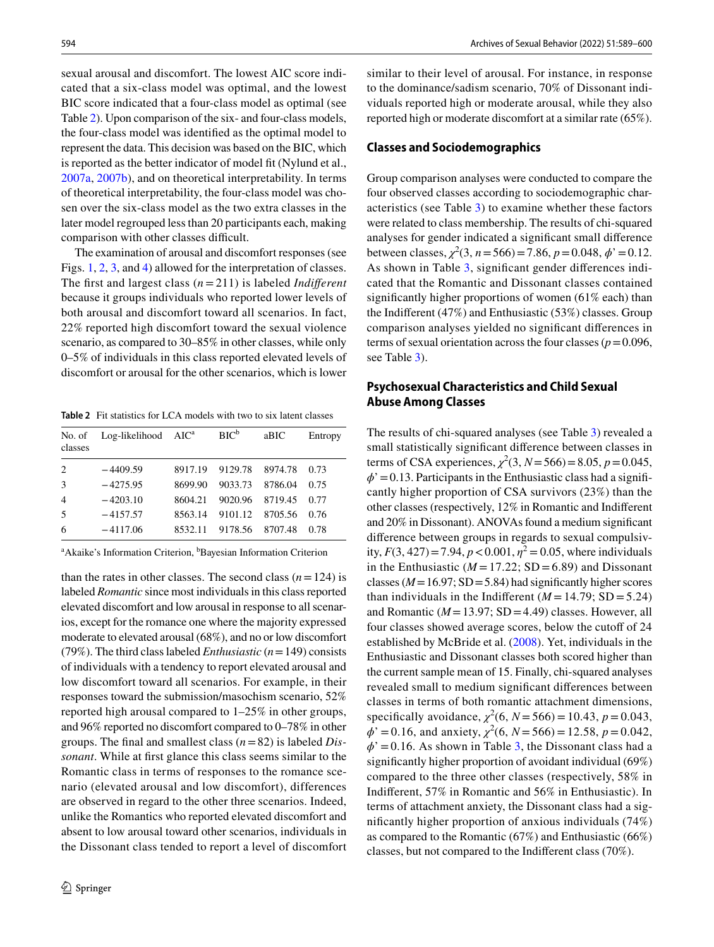sexual arousal and discomfort. The lowest AIC score indicated that a six-class model was optimal, and the lowest BIC score indicated that a four-class model as optimal (see Table [2](#page-5-0)). Upon comparison of the six- and four-class models, the four-class model was identifed as the optimal model to represent the data. This decision was based on the BIC, which is reported as the better indicator of model fit (Nylund et al., [2007a,](#page-11-10) [2007b](#page-11-11)), and on theoretical interpretability. In terms of theoretical interpretability, the four-class model was chosen over the six-class model as the two extra classes in the later model regrouped less than 20 participants each, making comparison with other classes difficult.

The examination of arousal and discomfort responses (see Figs. [1](#page-6-0), [2,](#page-6-1) [3](#page-6-2), and [4\)](#page-7-0) allowed for the interpretation of classes. The frst and largest class (*n*= 211) is labeled *Indiferent* because it groups individuals who reported lower levels of both arousal and discomfort toward all scenarios. In fact, 22% reported high discomfort toward the sexual violence scenario, as compared to 30–85% in other classes, while only 0–5% of individuals in this class reported elevated levels of discomfort or arousal for the other scenarios, which is lower

<span id="page-5-0"></span>**Table 2** Fit statistics for LCA models with two to six latent classes

| No. of<br>classes | $Log-likelihood$ $AICa$ |         | $BIC^b$ | aBIC    | Entropy |
|-------------------|-------------------------|---------|---------|---------|---------|
| 2                 | $-4409.59$              | 8917.19 | 9129.78 | 8974.78 | 0.73    |
| 3                 | $-4275.95$              | 8699.90 | 9033.73 | 8786.04 | 0.75    |
| $\overline{4}$    | $-4203.10$              | 8604.21 | 9020.96 | 8719.45 | 0.77    |
| 5                 | $-4157.57$              | 8563.14 | 9101.12 | 8705.56 | 0.76    |
| 6                 | $-4117.06$              | 8532.11 | 9178.56 | 8707.48 | 0.78    |

<sup>a</sup> Akaike's Information Criterion, <sup>b</sup>Bayesian Information Criterion

than the rates in other classes. The second class  $(n=124)$  is labeled *Romantic* since most individuals in this class reported elevated discomfort and low arousal in response to all scenarios, except for the romance one where the majority expressed moderate to elevated arousal (68%), and no or low discomfort (79%). The third class labeled *Enthusiastic* (*n*=149) consists of individuals with a tendency to report elevated arousal and low discomfort toward all scenarios. For example, in their responses toward the submission/masochism scenario, 52% reported high arousal compared to 1–25% in other groups, and 96% reported no discomfort compared to 0–78% in other groups. The fnal and smallest class (*n*=82) is labeled *Dissonant*. While at frst glance this class seems similar to the Romantic class in terms of responses to the romance scenario (elevated arousal and low discomfort), differences are observed in regard to the other three scenarios. Indeed, unlike the Romantics who reported elevated discomfort and absent to low arousal toward other scenarios, individuals in the Dissonant class tended to report a level of discomfort

similar to their level of arousal. For instance, in response to the dominance/sadism scenario, 70% of Dissonant individuals reported high or moderate arousal, while they also reported high or moderate discomfort at a similar rate (65%).

#### **Classes and Sociodemographics**

Group comparison analyses were conducted to compare the four observed classes according to sociodemographic characteristics (see Table [3\)](#page-7-1) to examine whether these factors were related to class membership. The results of chi-squared analyses for gender indicated a signifcant small diference between classes,  $\chi^2(3, n = 566) = 7.86$ ,  $p = 0.048$ ,  $\phi' = 0.12$ . As shown in Table [3](#page-7-1), signifcant gender diferences indicated that the Romantic and Dissonant classes contained signifcantly higher proportions of women (61% each) than the Indiferent (47%) and Enthusiastic (53%) classes. Group comparison analyses yielded no signifcant diferences in terms of sexual orientation across the four classes ( $p=0.096$ , see Table [3](#page-7-1)).

# **Psychosexual Characteristics and Child Sexual Abuse Among Classes**

The results of chi-squared analyses (see Table [3\)](#page-7-1) revealed a small statistically signifcant diference between classes in terms of CSA experiences,  $\chi^2(3, N = 566) = 8.05, p = 0.045$ ,  $\phi$ <sup>'</sup> = 0.13. Participants in the Enthusiastic class had a significantly higher proportion of CSA survivors (23%) than the other classes (respectively, 12% in Romantic and Indiferent and 20% in Dissonant). ANOVAs found a medium signifcant diference between groups in regards to sexual compulsivity,  $F(3, 427) = 7.94$ ,  $p < 0.001$ ,  $\eta^2 = 0.05$ , where individuals in the Enthusiastic ( $M = 17.22$ ; SD = 6.89) and Dissonant classes ( $M = 16.97$ ; SD = 5.84) had significantly higher scores than individuals in the Indifferent  $(M = 14.79; SD = 5.24)$ and Romantic  $(M = 13.97; SD = 4.49)$  classes. However, all four classes showed average scores, below the cutoff of 24 established by McBride et al. [\(2008](#page-11-20)). Yet, individuals in the Enthusiastic and Dissonant classes both scored higher than the current sample mean of 15. Finally, chi-squared analyses revealed small to medium signifcant diferences between classes in terms of both romantic attachment dimensions, specifically avoidance,  $\chi^2(6, N = 566) = 10.43, p = 0.043$ ,  $\phi' = 0.16$ , and anxiety,  $\chi^2(6, N = 566) = 12.58$ ,  $p = 0.042$ ,  $\phi$ <sup>'</sup> = 0.16. As shown in Table [3,](#page-7-1) the Dissonant class had a signifcantly higher proportion of avoidant individual (69%) compared to the three other classes (respectively, 58% in Indiferent, 57% in Romantic and 56% in Enthusiastic). In terms of attachment anxiety, the Dissonant class had a signifcantly higher proportion of anxious individuals (74%) as compared to the Romantic (67%) and Enthusiastic (66%) classes, but not compared to the Indiferent class (70%).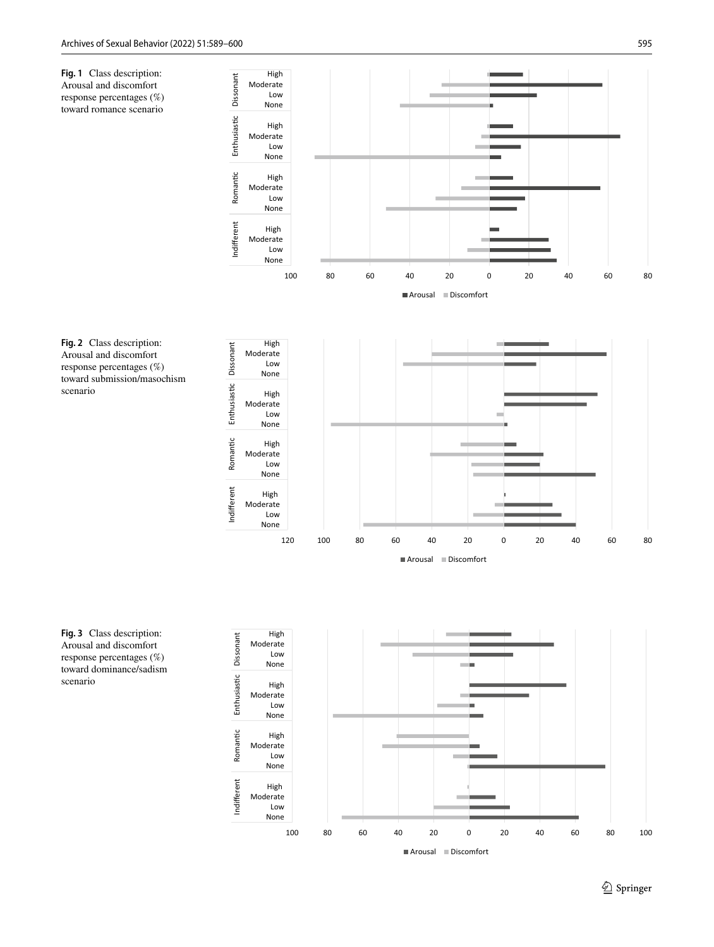<span id="page-6-0"></span>**Fig. 1** Class description: Arousal and discomfort response percentages (%) toward romance scenario



<span id="page-6-1"></span>**Fig. 2** Class description: Arousal and discomfort response percentages (%) toward submission/masochism scenario



<span id="page-6-2"></span>**Fig. 3** Class description: Arousal and discomfort response percentages (%) toward dominance/sadism scenario

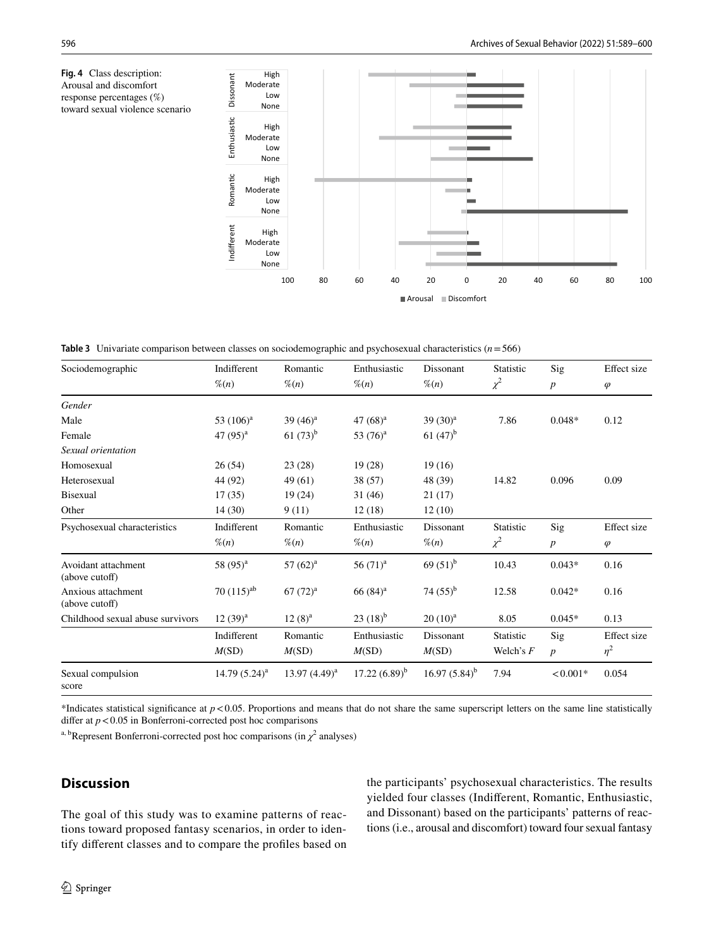<span id="page-7-0"></span>

<span id="page-7-1"></span>**Table 3** Univariate comparison between classes on sociodemographic and psychosexual characteristics (*n*=566)

| Sociodemographic                      | Indifferent      | Romantic          | Enthusiastic     | Dissonant         | <b>Statistic</b> | Sig              | Effect size |
|---------------------------------------|------------------|-------------------|------------------|-------------------|------------------|------------------|-------------|
|                                       | $\%$ (n)         | $\%$ (n)          | $\%$ (n)         | $\%$ (n)          | $\chi^2$         | $\boldsymbol{p}$ | $\varphi$   |
| Gender                                |                  |                   |                  |                   |                  |                  |             |
| Male                                  | 53 $(106)^a$     | 39 $(46)^a$       | 47 $(68)^a$      | $39(30)^{a}$      | 7.86             | $0.048*$         | 0.12        |
| Female                                | 47 $(95)^{a}$    | $61(73)^{b}$      | 53 $(76)^a$      | $61(47)^{b}$      |                  |                  |             |
| Sexual orientation                    |                  |                   |                  |                   |                  |                  |             |
| Homosexual                            | 26(54)           | 23(28)            | 19(28)           | 19(16)            |                  |                  |             |
| Heterosexual                          | 44 (92)          | 49 (61)           | 38 (57)          | 48 (39)           | 14.82            | 0.096            | 0.09        |
| <b>Bisexual</b>                       | 17(35)           | 19(24)            | 31(46)           | 21(17)            |                  |                  |             |
| Other                                 | 14(30)           | 9(11)             | 12(18)           | 12(10)            |                  |                  |             |
| Psychosexual characteristics          | Indifferent      | Romantic          | Enthusiastic     | <b>Dissonant</b>  | <b>Statistic</b> | Sig              | Effect size |
|                                       | $\mathcal{K}(n)$ | $\mathcal{K}(n)$  | $\mathcal{K}(n)$ | $\%$ (n)          | $\chi^2$         | $\boldsymbol{p}$ | $\varphi$   |
| Avoidant attachment<br>(above cutoff) | 58 $(95)^{a}$    | $57(62)^a$        | $56(71)^{a}$     | 69 $(51)^{b}$     | 10.43            | $0.043*$         | 0.16        |
| Anxious attachment<br>(above cutoff)  | $70(115)^{ab}$   | $67 (72)^a$       | $66(84)^{a}$     | 74 $(55)^{b}$     | 12.58            | $0.042*$         | 0.16        |
| Childhood sexual abuse survivors      | $12(39)^{a}$     | $12(8)^{a}$       | $23(18)^{b}$     | $20(10)^{a}$      | 8.05             | $0.045*$         | 0.13        |
|                                       | Indifferent      | Romantic          | Enthusiastic     | Dissonant         | <b>Statistic</b> | Sig              | Effect size |
|                                       | M(SD)            | M(SD)             | M(SD)            | M(SD)             | Welch's $F$      | $\boldsymbol{p}$ | $\eta^2$    |
| Sexual compulsion<br>score            | $14.79(5.24)^a$  | $13.97(4.49)^{a}$ | $17.22(6.89)^b$  | $16.97(5.84)^{b}$ | 7.94             | $< 0.001*$       | 0.054       |

\*Indicates statistical significance at  $p < 0.05$ . Proportions and means that do not share the same superscript letters on the same line statistically differ at  $p < 0.05$  in Bonferroni-corrected post hoc comparisons

<sup>a, b</sup>Represent Bonferroni-corrected post hoc comparisons (in  $\chi^2$  analyses)

# **Discussion**

The goal of this study was to examine patterns of reactions toward proposed fantasy scenarios, in order to identify diferent classes and to compare the profles based on the participants' psychosexual characteristics. The results yielded four classes (Indiferent, Romantic, Enthusiastic, and Dissonant) based on the participants' patterns of reactions (i.e., arousal and discomfort) toward four sexual fantasy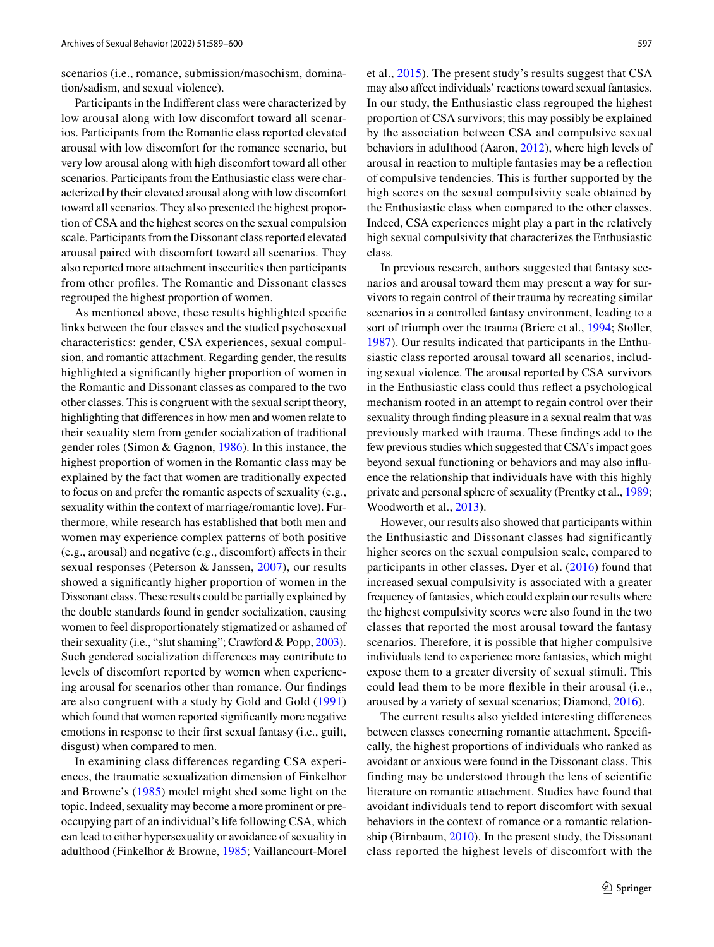scenarios (i.e., romance, submission/masochism, domination/sadism, and sexual violence).

Participants in the Indiferent class were characterized by low arousal along with low discomfort toward all scenarios. Participants from the Romantic class reported elevated arousal with low discomfort for the romance scenario, but very low arousal along with high discomfort toward all other scenarios. Participants from the Enthusiastic class were characterized by their elevated arousal along with low discomfort toward all scenarios. They also presented the highest proportion of CSA and the highest scores on the sexual compulsion scale. Participants from the Dissonant class reported elevated arousal paired with discomfort toward all scenarios. They also reported more attachment insecurities then participants from other profles. The Romantic and Dissonant classes regrouped the highest proportion of women.

As mentioned above, these results highlighted specifc links between the four classes and the studied psychosexual characteristics: gender, CSA experiences, sexual compulsion, and romantic attachment. Regarding gender, the results highlighted a signifcantly higher proportion of women in the Romantic and Dissonant classes as compared to the two other classes. This is congruent with the sexual script theory, highlighting that diferences in how men and women relate to their sexuality stem from gender socialization of traditional gender roles (Simon & Gagnon, [1986](#page-11-27)). In this instance, the highest proportion of women in the Romantic class may be explained by the fact that women are traditionally expected to focus on and prefer the romantic aspects of sexuality (e.g., sexuality within the context of marriage/romantic love). Furthermore, while research has established that both men and women may experience complex patterns of both positive (e.g., arousal) and negative (e.g., discomfort) afects in their sexual responses (Peterson & Janssen, [2007\)](#page-11-7), our results showed a signifcantly higher proportion of women in the Dissonant class. These results could be partially explained by the double standards found in gender socialization, causing women to feel disproportionately stigmatized or ashamed of their sexuality (i.e., "slut shaming"; Crawford & Popp, [2003](#page-11-28)). Such gendered socialization diferences may contribute to levels of discomfort reported by women when experiencing arousal for scenarios other than romance. Our fndings are also congruent with a study by Gold and Gold ([1991\)](#page-11-29) which found that women reported signifcantly more negative emotions in response to their frst sexual fantasy (i.e., guilt, disgust) when compared to men.

In examining class differences regarding CSA experiences, the traumatic sexualization dimension of Finkelhor and Browne's ([1985\)](#page-11-14) model might shed some light on the topic. Indeed, sexuality may become a more prominent or preoccupying part of an individual's life following CSA, which can lead to either hypersexuality or avoidance of sexuality in adulthood (Finkelhor & Browne, [1985;](#page-11-14) Vaillancourt-Morel et al., [2015](#page-11-17)). The present study's results suggest that CSA may also afect individuals' reactions toward sexual fantasies. In our study, the Enthusiastic class regrouped the highest proportion of CSA survivors; this may possibly be explained by the association between CSA and compulsive sexual behaviors in adulthood (Aaron, [2012\)](#page-10-4), where high levels of arousal in reaction to multiple fantasies may be a refection of compulsive tendencies. This is further supported by the high scores on the sexual compulsivity scale obtained by the Enthusiastic class when compared to the other classes. Indeed, CSA experiences might play a part in the relatively high sexual compulsivity that characterizes the Enthusiastic class.

In previous research, authors suggested that fantasy scenarios and arousal toward them may present a way for survivors to regain control of their trauma by recreating similar scenarios in a controlled fantasy environment, leading to a sort of triumph over the trauma (Briere et al., [1994](#page-11-12); Stoller, [1987\)](#page-11-30). Our results indicated that participants in the Enthusiastic class reported arousal toward all scenarios, including sexual violence. The arousal reported by CSA survivors in the Enthusiastic class could thus refect a psychological mechanism rooted in an attempt to regain control over their sexuality through fnding pleasure in a sexual realm that was previously marked with trauma. These fndings add to the few previous studies which suggested that CSA's impact goes beyond sexual functioning or behaviors and may also infuence the relationship that individuals have with this highly private and personal sphere of sexuality (Prentky et al., [1989](#page-11-31); Woodworth et al., [2013](#page-11-32)).

However, our results also showed that participants within the Enthusiastic and Dissonant classes had significantly higher scores on the sexual compulsion scale, compared to participants in other classes. Dyer et al. ([2016](#page-11-15)) found that increased sexual compulsivity is associated with a greater frequency of fantasies, which could explain our results where the highest compulsivity scores were also found in the two classes that reported the most arousal toward the fantasy scenarios. Therefore, it is possible that higher compulsive individuals tend to experience more fantasies, which might expose them to a greater diversity of sexual stimuli. This could lead them to be more fexible in their arousal (i.e., aroused by a variety of sexual scenarios; Diamond, [2016](#page-11-33)).

The current results also yielded interesting diferences between classes concerning romantic attachment. Specifcally, the highest proportions of individuals who ranked as avoidant or anxious were found in the Dissonant class. This finding may be understood through the lens of scientific literature on romantic attachment. Studies have found that avoidant individuals tend to report discomfort with sexual behaviors in the context of romance or a romantic relationship (Birnbaum, [2010\)](#page-10-1). In the present study, the Dissonant class reported the highest levels of discomfort with the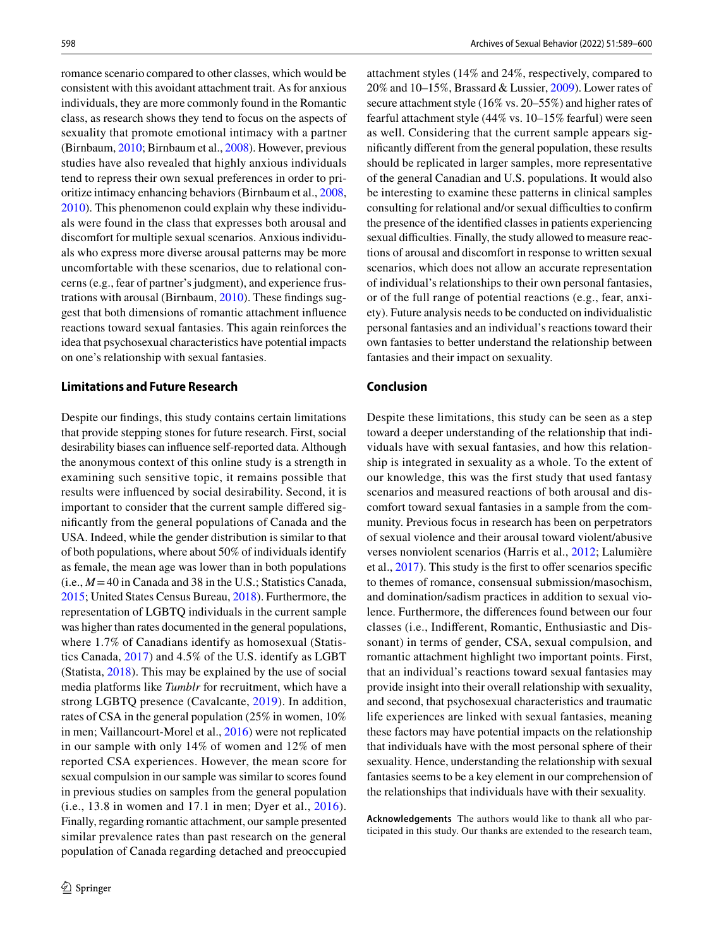romance scenario compared to other classes, which would be consistent with this avoidant attachment trait. As for anxious individuals, they are more commonly found in the Romantic class, as research shows they tend to focus on the aspects of sexuality that promote emotional intimacy with a partner (Birnbaum, [2010;](#page-10-1) Birnbaum et al., [2008\)](#page-10-5). However, previous studies have also revealed that highly anxious individuals tend to repress their own sexual preferences in order to prioritize intimacy enhancing behaviors (Birnbaum et al., [2008,](#page-10-5) [2010](#page-10-1)). This phenomenon could explain why these individuals were found in the class that expresses both arousal and discomfort for multiple sexual scenarios. Anxious individuals who express more diverse arousal patterns may be more uncomfortable with these scenarios, due to relational concerns (e.g., fear of partner's judgment), and experience frustrations with arousal (Birnbaum, [2010](#page-10-1)). These fndings suggest that both dimensions of romantic attachment infuence reactions toward sexual fantasies. This again reinforces the idea that psychosexual characteristics have potential impacts on one's relationship with sexual fantasies.

### **Limitations and Future Research**

Despite our fndings, this study contains certain limitations that provide stepping stones for future research. First, social desirability biases can infuence self-reported data. Although the anonymous context of this online study is a strength in examining such sensitive topic, it remains possible that results were infuenced by social desirability. Second, it is important to consider that the current sample difered signifcantly from the general populations of Canada and the USA. Indeed, while the gender distribution is similar to that of both populations, where about 50% of individuals identify as female, the mean age was lower than in both populations (i.e.,  $M = 40$  in Canada and 38 in the U.S.; Statistics Canada, [2015](#page-11-34); United States Census Bureau, [2018](#page-11-35)). Furthermore, the representation of LGBTQ individuals in the current sample was higher than rates documented in the general populations, where 1.7% of Canadians identify as homosexual (Statistics Canada, [2017](#page-11-36)) and 4.5% of the U.S. identify as LGBT (Statista, [2018\)](#page-11-37). This may be explained by the use of social media platforms like *Tumblr* for recruitment, which have a strong LGBTQ presence (Cavalcante, [2019\)](#page-11-38). In addition, rates of CSA in the general population (25% in women, 10% in men; Vaillancourt-Morel et al., [2016](#page-11-18)) were not replicated in our sample with only 14% of women and 12% of men reported CSA experiences. However, the mean score for sexual compulsion in our sample was similar to scores found in previous studies on samples from the general population (i.e., 13.8 in women and 17.1 in men; Dyer et al., [2016](#page-11-15)). Finally, regarding romantic attachment, our sample presented similar prevalence rates than past research on the general population of Canada regarding detached and preoccupied attachment styles (14% and 24%, respectively, compared to 20% and 10–15%, Brassard & Lussier, [2009\)](#page-11-39). Lower rates of secure attachment style (16% vs. 20–55%) and higher rates of fearful attachment style (44% vs. 10–15% fearful) were seen as well. Considering that the current sample appears signifcantly diferent from the general population, these results should be replicated in larger samples, more representative of the general Canadian and U.S. populations. It would also be interesting to examine these patterns in clinical samples consulting for relational and/or sexual difficulties to confirm the presence of the identifed classes in patients experiencing sexual difficulties. Finally, the study allowed to measure reactions of arousal and discomfort in response to written sexual scenarios, which does not allow an accurate representation of individual's relationships to their own personal fantasies, or of the full range of potential reactions (e.g., fear, anxiety). Future analysis needs to be conducted on individualistic personal fantasies and an individual's reactions toward their own fantasies to better understand the relationship between fantasies and their impact on sexuality.

### **Conclusion**

Despite these limitations, this study can be seen as a step toward a deeper understanding of the relationship that individuals have with sexual fantasies, and how this relationship is integrated in sexuality as a whole. To the extent of our knowledge, this was the first study that used fantasy scenarios and measured reactions of both arousal and discomfort toward sexual fantasies in a sample from the community. Previous focus in research has been on perpetrators of sexual violence and their arousal toward violent/abusive verses nonviolent scenarios (Harris et al., [2012](#page-11-4); Lalumière et al.,  $2017$ ). This study is the first to offer scenarios specific to themes of romance, consensual submission/masochism, and domination/sadism practices in addition to sexual violence. Furthermore, the diferences found between our four classes (i.e., Indiferent, Romantic, Enthusiastic and Dissonant) in terms of gender, CSA, sexual compulsion, and romantic attachment highlight two important points. First, that an individual's reactions toward sexual fantasies may provide insight into their overall relationship with sexuality, and second, that psychosexual characteristics and traumatic life experiences are linked with sexual fantasies, meaning these factors may have potential impacts on the relationship that individuals have with the most personal sphere of their sexuality. Hence, understanding the relationship with sexual fantasies seems to be a key element in our comprehension of the relationships that individuals have with their sexuality.

**Acknowledgements** The authors would like to thank all who participated in this study. Our thanks are extended to the research team,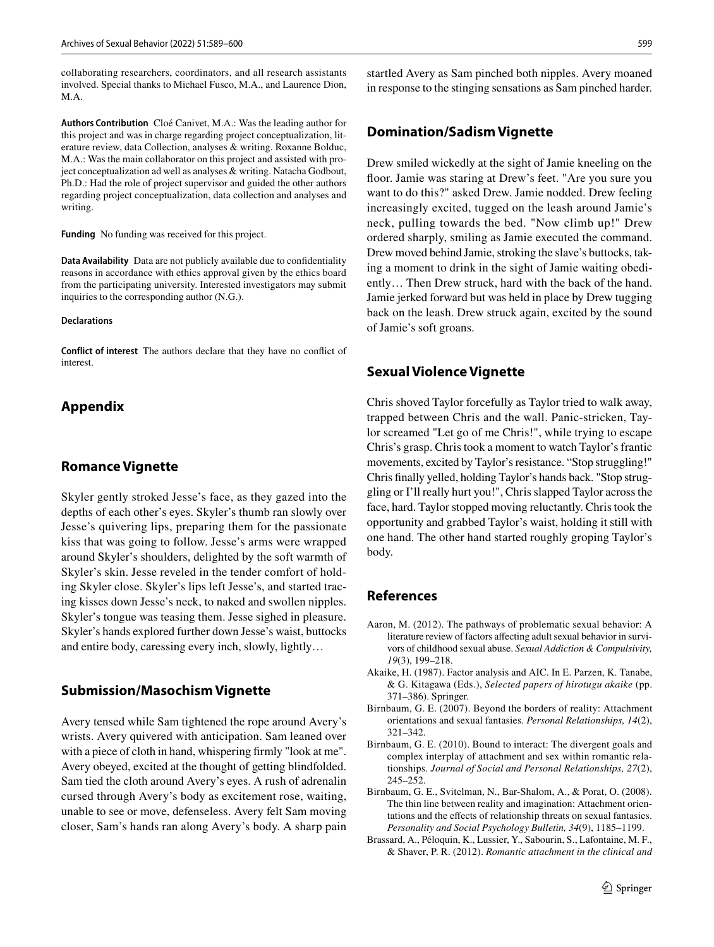collaborating researchers, coordinators, and all research assistants involved. Special thanks to Michael Fusco, M.A., and Laurence Dion, M.A.

**Authors Contribution** Cloé Canivet, M.A.: Was the leading author for this project and was in charge regarding project conceptualization, literature review, data Collection, analyses & writing. Roxanne Bolduc, M.A.: Was the main collaborator on this project and assisted with project conceptualization ad well as analyses & writing. Natacha Godbout, Ph.D.: Had the role of project supervisor and guided the other authors regarding project conceptualization, data collection and analyses and writing.

**Funding** No funding was received for this project.

**Data Availability** Data are not publicly available due to confdentiality reasons in accordance with ethics approval given by the ethics board from the participating university. Interested investigators may submit inquiries to the corresponding author (N.G.).

#### **Declarations**

**Conflict of interest** The authors declare that they have no confict of interest.

# **Appendix**

### **Romance Vignette**

Skyler gently stroked Jesse's face, as they gazed into the depths of each other's eyes. Skyler's thumb ran slowly over Jesse's quivering lips, preparing them for the passionate kiss that was going to follow. Jesse's arms were wrapped around Skyler's shoulders, delighted by the soft warmth of Skyler's skin. Jesse reveled in the tender comfort of holding Skyler close. Skyler's lips left Jesse's, and started tracing kisses down Jesse's neck, to naked and swollen nipples. Skyler's tongue was teasing them. Jesse sighed in pleasure. Skyler's hands explored further down Jesse's waist, buttocks and entire body, caressing every inch, slowly, lightly…

# **Submission/Masochism Vignette**

Avery tensed while Sam tightened the rope around Avery's wrists. Avery quivered with anticipation. Sam leaned over with a piece of cloth in hand, whispering frmly "look at me". Avery obeyed, excited at the thought of getting blindfolded. Sam tied the cloth around Avery's eyes. A rush of adrenalin cursed through Avery's body as excitement rose, waiting, unable to see or move, defenseless. Avery felt Sam moving closer, Sam's hands ran along Avery's body. A sharp pain startled Avery as Sam pinched both nipples. Avery moaned in response to the stinging sensations as Sam pinched harder.

### **Domination/Sadism Vignette**

Drew smiled wickedly at the sight of Jamie kneeling on the foor. Jamie was staring at Drew's feet. "Are you sure you want to do this?" asked Drew. Jamie nodded. Drew feeling increasingly excited, tugged on the leash around Jamie's neck, pulling towards the bed. "Now climb up!" Drew ordered sharply, smiling as Jamie executed the command. Drew moved behind Jamie, stroking the slave's buttocks, taking a moment to drink in the sight of Jamie waiting obediently… Then Drew struck, hard with the back of the hand. Jamie jerked forward but was held in place by Drew tugging back on the leash. Drew struck again, excited by the sound of Jamie's soft groans.

### **Sexual Violence Vignette**

Chris shoved Taylor forcefully as Taylor tried to walk away, trapped between Chris and the wall. Panic-stricken, Taylor screamed "Let go of me Chris!", while trying to escape Chris's grasp. Chris took a moment to watch Taylor's frantic movements, excited by Taylor's resistance. "Stop struggling!" Chris fnally yelled, holding Taylor's hands back. "Stop struggling or I'll really hurt you!", Chris slapped Taylor across the face, hard. Taylor stopped moving reluctantly. Chris took the opportunity and grabbed Taylor's waist, holding it still with one hand. The other hand started roughly groping Taylor's body.

# **References**

- <span id="page-10-4"></span>Aaron, M. (2012). The pathways of problematic sexual behavior: A literature review of factors afecting adult sexual behavior in survivors of childhood sexual abuse. *Sexual Addiction & Compulsivity, 19*(3), 199–218.
- <span id="page-10-3"></span>Akaike, H. (1987). Factor analysis and AIC. In E. Parzen, K. Tanabe, & G. Kitagawa (Eds.), *Selected papers of hirotugu akaike* (pp. 371–386). Springer.
- <span id="page-10-0"></span>Birnbaum, G. E. (2007). Beyond the borders of reality: Attachment orientations and sexual fantasies. *Personal Relationships, 14*(2), 321–342.
- <span id="page-10-1"></span>Birnbaum, G. E. (2010). Bound to interact: The divergent goals and complex interplay of attachment and sex within romantic relationships. *Journal of Social and Personal Relationships, 27*(2), 245–252.
- <span id="page-10-5"></span>Birnbaum, G. E., Svitelman, N., Bar-Shalom, A., & Porat, O. (2008). The thin line between reality and imagination: Attachment orientations and the efects of relationship threats on sexual fantasies. *Personality and Social Psychology Bulletin, 34*(9), 1185–1199.
- <span id="page-10-2"></span>Brassard, A., Péloquin, K., Lussier, Y., Sabourin, S., Lafontaine, M. F., & Shaver, P. R. (2012). *Romantic attachment in the clinical and*